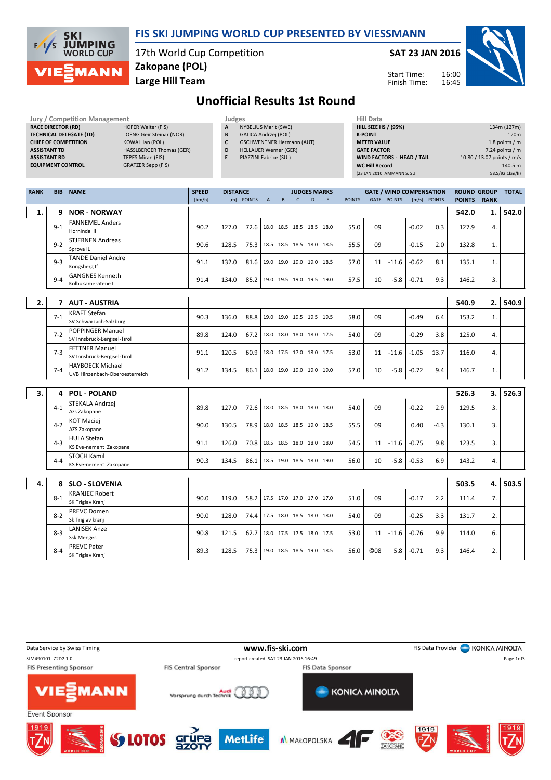| 1/5 | <b>SKI</b><br><b>JUMPING</b><br>WORLD CUP |
|-----|-------------------------------------------|
|     | EZMANN                                    |

### FIS SKI JUMPING WORLD CUP PRESENTED BY VIESSMANN

17th World Cup Competition Zakopane (POL)

Large Hill Team

SAT 23 JAN 2016



Start Time: Finish Time:

# Unofficial Results 1st Round

| Jury / Competition Management  |                                 | Judges |                                  | <b>Hill Data</b>   |
|--------------------------------|---------------------------------|--------|----------------------------------|--------------------|
| <b>RACE DIRECTOR (RD)</b>      | HOFER Walter (FIS)              | A      | NYBELIUS Marit (SWE)             | <b>HILL SIZE H</b> |
| <b>TECHNICAL DELEGATE (TD)</b> | LOENG Geir Steinar (NOR)        | B      | <b>GALICA Andrzei (POL)</b>      | <b>K-POINT</b>     |
| <b>CHIEF OF COMPETITION</b>    | KOWAL Jan (POL)                 |        | <b>GSCHWENTNER Hermann (AUT)</b> | <b>METER VAI</b>   |
| <b>ASSISTANT TD</b>            | <b>HASSLBERGER Thomas (GER)</b> | D      | <b>HELLAUER Werner (GER)</b>     | <b>GATE FACT</b>   |
| <b>ASSISTANT RD</b>            | <b>TEPES Miran (FIS)</b>        |        | PIAZZINI Fabrice (SUI)           | <b>WIND FACT</b>   |
| <b>EQUIPMENT CONTROL</b>       | GRATZER Sepp (FIS)              |        |                                  | <b>WC Hill Reg</b> |

- - A NYBELIUS Marit (SWE) B GALICA Andrzej (POL)
	- C GSCHWENTNER Hermann (AUT)
	- D HELLAUER Werner (GER)
	- E PIAZZINI Fabrice (SUI)

| пш мата                     |                            |
|-----------------------------|----------------------------|
| <b>HILL SIZE HS / (95%)</b> | 134m (127m)                |
| <b>K-POINT</b>              | 120 <sub>m</sub>           |
| <b>METER VALUE</b>          | 1.8 points $/m$            |
| <b>GATE FACTOR</b>          | $7.24$ points / m          |
| WIND FACTORS - HEAD / TAIL  | 10.80 / 13.07 points / m/s |
| <b>WC Hill Record</b>       | 140.5 m                    |
| (23 JAN 2010 AMMANN S. SUI  | G8.5/92.1km/h)             |

| <b>RANK</b> |         | <b>BIB NAME</b>                                           | <b>SPEED</b> | <b>DISTANCE</b> |            |                          |                | <b>JUDGES MARKS</b>      |    |   |               |            |             | <b>GATE / WIND COMPENSATION</b> |              | <b>ROUND GROUP</b> |             | <b>TOTAL</b> |
|-------------|---------|-----------------------------------------------------------|--------------|-----------------|------------|--------------------------|----------------|--------------------------|----|---|---------------|------------|-------------|---------------------------------|--------------|--------------------|-------------|--------------|
|             |         |                                                           | [km/h]       |                 | [m] POINTS | $\overline{A}$           | $\overline{B}$ | $\mathsf{C}$             | D. | F | <b>POINTS</b> |            | GATE POINTS |                                 | [m/s] POINTS | <b>POINTS</b>      | <b>RANK</b> |              |
| 1.          |         | 9 NOR - NORWAY                                            |              |                 |            |                          |                |                          |    |   |               |            |             |                                 |              | 542.0              | 1.          | 542.0        |
|             | $9 - 1$ | <b>FANNEMEL Anders</b><br>Hornindal II                    | 90.2         | 127.0           | 72.6       |                          |                | 18.0 18.5 18.5 18.5 18.0 |    |   | 55.0          | 09         |             | $-0.02$                         | 0.3          | 127.9              | 4.          |              |
|             | $9 - 2$ | <b>STJERNEN Andreas</b><br>Sprova <sub>IL</sub>           | 90.6         | 128.5           | 75.3       |                          |                | 18.5 18.5 18.5 18.0 18.5 |    |   | 55.5          | 09         |             | $-0.15$                         | 2.0          | 132.8              | 1.          |              |
|             | $9 - 3$ | <b>TANDE Daniel Andre</b><br>Kongsberg If                 | 91.1         | 132.0           | 81.6       |                          |                | 19.0 19.0 19.0 19.0 18.5 |    |   | 57.0          |            | $11 - 11.6$ | $-0.62$                         | 8.1          | 135.1              | 1.          |              |
|             | $9 - 4$ | <b>GANGNES Kenneth</b><br>Kolbukameratene IL              | 91.4         | 134.0           | 85.2       |                          |                | 19.0 19.5 19.0 19.5 19.0 |    |   | 57.5          | 10         | $-5.8$      | $-0.71$                         | 9.3          | 146.2              | 3.          |              |
|             |         |                                                           |              |                 |            |                          |                |                          |    |   |               |            |             |                                 |              |                    |             |              |
| 2.          |         | 7 AUT - AUSTRIA                                           |              |                 |            |                          |                |                          |    |   |               |            |             |                                 |              | 540.9              | 2.          | 540.9        |
|             | $7-1$   | <b>KRAFT Stefan</b><br>SV Schwarzach-Salzburg             | 90.3         | 136.0           | 88.8       |                          |                | 19.0 19.0 19.5 19.5 19.5 |    |   | 58.0          | 09         |             | $-0.49$                         | 6.4          | 153.2              | 1.          |              |
|             | $7 - 2$ | POPPINGER Manuel<br>SV Innsbruck-Bergisel-Tirol           | 89.8         | 124.0           | 67.2       |                          |                | 18.0 18.0 18.0 18.0 17.5 |    |   | 54.0          | 09         |             | $-0.29$                         | 3.8          | 125.0              | 4.          |              |
|             | $7-3$   | <b>FETTNER Manuel</b><br>SV Innsbruck-Bergisel-Tirol      | 91.1         | 120.5           | 60.9       |                          |                | 18.0 17.5 17.0 18.0 17.5 |    |   | 53.0          |            | $11 - 11.6$ | $-1.05$                         | 13.7         | 116.0              | 4.          |              |
|             | $7 - 4$ | <b>HAYBOECK Michael</b><br>UVB Hinzenbach-Oberoesterreich | 91.2         | 134.5           | 86.1       |                          |                | 18.0 19.0 19.0 19.0 19.0 |    |   | 57.0          | 10         | $-5.8$      | $-0.72$                         | 9.4          | 146.7              | 1.          |              |
|             |         |                                                           |              |                 |            |                          |                |                          |    |   |               |            |             |                                 |              |                    |             |              |
| 3.          | 4       | <b>POL - POLAND</b>                                       |              |                 |            |                          |                |                          |    |   |               |            |             |                                 |              | 526.3              | 3.          | 526.3        |
|             | $4 - 1$ | STEKALA Andrzej<br>Azs Zakopane                           | 89.8         | 127.0           | 72.6       |                          |                | 18.0 18.5 18.0 18.0 18.0 |    |   | 54.0          | 09         |             | $-0.22$                         | 2.9          | 129.5              | 3.          |              |
|             | $4 - 2$ | <b>KOT Maciej</b><br>AZS Zakopane                         | 90.0         | 130.5           | 78.9       |                          |                | 18.0 18.5 18.5 19.0 18.5 |    |   | 55.5          | 09         |             | 0.40                            | $-4.3$       | 130.1              | 3.          |              |
|             | $4 - 3$ | <b>HULA Stefan</b><br>KS Eve-nement Zakopane              | 91.1         | 126.0           | 70.8       |                          |                | 18.5 18.5 18.0 18.0 18.0 |    |   | 54.5          |            | $11 - 11.6$ | $-0.75$                         | 9.8          | 123.5              | 3.          |              |
|             | $4 - 4$ | <b>STOCH Kamil</b><br>KS Eve-nement Zakopane              | 90.3         | 134.5           | 86.1       |                          |                | 18.5 19.0 18.5 18.0 19.0 |    |   | 56.0          | 10         | $-5.8$      | $-0.53$                         | 6.9          | 143.2              | 4.          |              |
|             |         |                                                           |              |                 |            |                          |                |                          |    |   |               |            |             |                                 |              |                    |             |              |
| 4.          | 8       | <b>SLO - SLOVENIA</b>                                     |              |                 |            |                          |                |                          |    |   |               |            |             |                                 |              | 503.5              | 4.          | 503.5        |
|             | $8 - 1$ | <b>KRANJEC Robert</b><br>SK Triglav Kranj                 | 90.0         | 119.0           | 58.2       |                          |                | 17.5 17.0 17.0 17.0 17.0 |    |   | 51.0          | 09         |             | $-0.17$                         | 2.2          | 111.4              | 7.          |              |
|             | $8-2$   | <b>PREVC Domen</b><br>Sk Triglav kranj                    | 90.0         | 128.0           | 74.4       |                          |                | 17.5 18.0 18.5 18.0 18.0 |    |   | 54.0          | 09         |             | $-0.25$                         | 3.3          | 131.7              | 2.          |              |
|             | $8 - 3$ | <b>LANISEK Anze</b><br><b>Ssk Menges</b>                  | 90.8         | 121.5           | 62.7       |                          |                | 18.0 17.5 17.5 18.0 17.5 |    |   | 53.0          |            | $11 - 11.6$ | $-0.76$                         | 9.9          | 114.0              | 6.          |              |
|             | $8 - 4$ | <b>PREVC Peter</b><br>SK Triglav Kranj                    | 89.3         | 128.5           | 75.3       | 19.0 18.5 18.5 19.0 18.5 |                |                          |    |   | 56.0          | <b>©08</b> | 5.8         | $-0.71$                         | 9.3          | 146.4              | 2.          |              |

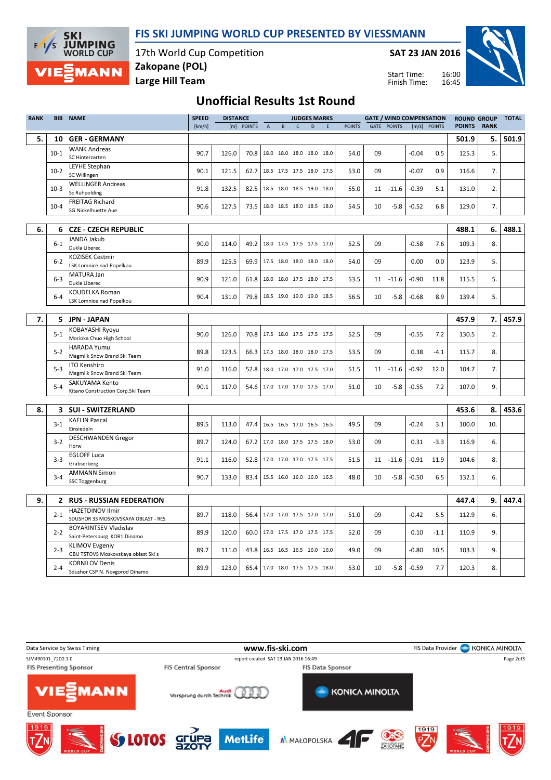

**SKI JUMPING**<br>WORLD CUP  $F/1/S$ **MANN** 

17th World Cup Competition Large Hill Team Zakopane (POL)

SAT 23 JAN 2016

Start Time: Finish Time:



### Unofficial Results 1st Round

| [m] POINTS<br>$\mathsf{C}$<br>D<br><b>POINTS</b><br><b>GATE POINTS</b><br>[m/s] POINTS<br><b>POINTS</b><br><b>RANK</b><br>[km/h]<br>$\mathsf A$<br>B<br>F<br>5.<br>10<br><b>GER - GERMANY</b><br>501.9<br>5.<br><b>WANK Andreas</b><br>126.0<br>18.0 18.0 18.0 18.0 18.0<br>$-0.04$<br>5.<br>$10-1$<br>90.7<br>70.8<br>54.0<br>09<br>0.5<br>125.3<br>SC Hinterzarten<br><b>LEYHE Stephan</b><br>$10-2$<br>90.1<br>121.5<br>09<br>$-0.07$<br>0.9<br>62.7<br>18.5 17.5 17.5 18.0 17.5<br>53.0<br>116.6<br>7.<br>SC Willingen<br><b>WELLINGER Andreas</b><br>$10-3$<br>91.8<br>132.5<br>2.<br>82.5<br>55.0<br>$11 - 11.6$<br>$-0.39$<br>5.1<br>131.0<br>18.5 18.0 18.5 19.0 18.0<br>Sc Ruhpolding<br><b>FREITAG Richard</b><br>90.6<br>127.5<br>129.0<br>$10 - 4$<br>73.5<br>18.0 18.5 18.0 18.5 18.0<br>54.5<br>10<br>$-5.8$<br>$-0.52$<br>6.8<br>7.<br>SG Nickelhuette Aue<br>6.<br><b>CZE - CZECH REPUBLIC</b><br>6.<br>488.1<br>6.<br>JANDA Jakub<br>$6-1$<br>90.0<br>09<br>$-0.58$<br>109.3<br>8.<br>114.0<br>49.2<br>52.5<br>7.6<br>18.0 17.5 17.5 17.5 17.0<br>Dukla Liberec | <b>TOTAL</b> |
|----------------------------------------------------------------------------------------------------------------------------------------------------------------------------------------------------------------------------------------------------------------------------------------------------------------------------------------------------------------------------------------------------------------------------------------------------------------------------------------------------------------------------------------------------------------------------------------------------------------------------------------------------------------------------------------------------------------------------------------------------------------------------------------------------------------------------------------------------------------------------------------------------------------------------------------------------------------------------------------------------------------------------------------------------------------------------------|--------------|
|                                                                                                                                                                                                                                                                                                                                                                                                                                                                                                                                                                                                                                                                                                                                                                                                                                                                                                                                                                                                                                                                                  |              |
|                                                                                                                                                                                                                                                                                                                                                                                                                                                                                                                                                                                                                                                                                                                                                                                                                                                                                                                                                                                                                                                                                  | 501.9        |
|                                                                                                                                                                                                                                                                                                                                                                                                                                                                                                                                                                                                                                                                                                                                                                                                                                                                                                                                                                                                                                                                                  |              |
|                                                                                                                                                                                                                                                                                                                                                                                                                                                                                                                                                                                                                                                                                                                                                                                                                                                                                                                                                                                                                                                                                  |              |
|                                                                                                                                                                                                                                                                                                                                                                                                                                                                                                                                                                                                                                                                                                                                                                                                                                                                                                                                                                                                                                                                                  |              |
|                                                                                                                                                                                                                                                                                                                                                                                                                                                                                                                                                                                                                                                                                                                                                                                                                                                                                                                                                                                                                                                                                  |              |
|                                                                                                                                                                                                                                                                                                                                                                                                                                                                                                                                                                                                                                                                                                                                                                                                                                                                                                                                                                                                                                                                                  |              |
|                                                                                                                                                                                                                                                                                                                                                                                                                                                                                                                                                                                                                                                                                                                                                                                                                                                                                                                                                                                                                                                                                  |              |
|                                                                                                                                                                                                                                                                                                                                                                                                                                                                                                                                                                                                                                                                                                                                                                                                                                                                                                                                                                                                                                                                                  |              |
|                                                                                                                                                                                                                                                                                                                                                                                                                                                                                                                                                                                                                                                                                                                                                                                                                                                                                                                                                                                                                                                                                  |              |
|                                                                                                                                                                                                                                                                                                                                                                                                                                                                                                                                                                                                                                                                                                                                                                                                                                                                                                                                                                                                                                                                                  | 488.1        |
|                                                                                                                                                                                                                                                                                                                                                                                                                                                                                                                                                                                                                                                                                                                                                                                                                                                                                                                                                                                                                                                                                  |              |
|                                                                                                                                                                                                                                                                                                                                                                                                                                                                                                                                                                                                                                                                                                                                                                                                                                                                                                                                                                                                                                                                                  |              |
| <b>KOZISEK Cestmir</b><br>$6 - 2$<br>89.9<br>125.5<br>69.9<br>17.5 18.0 18.0 18.0 18.0<br>54.0<br>09<br>0.00<br>0.0<br>123.9<br>5.<br>LSK Lomnice nad Popelkou                                                                                                                                                                                                                                                                                                                                                                                                                                                                                                                                                                                                                                                                                                                                                                                                                                                                                                                   |              |
| MATURA Jan                                                                                                                                                                                                                                                                                                                                                                                                                                                                                                                                                                                                                                                                                                                                                                                                                                                                                                                                                                                                                                                                       |              |
| 90.9<br>$-0.90$<br>5.<br>$6 - 3$<br>121.0<br>61.8<br>18.0 18.0 17.5 18.0 17.5<br>53.5<br>$11 - 11.6$<br>11.8<br>115.5<br>Dukla Liberec                                                                                                                                                                                                                                                                                                                                                                                                                                                                                                                                                                                                                                                                                                                                                                                                                                                                                                                                           |              |
| <b>KOUDELKA Roman</b><br>90.4<br>79.8<br>8.9<br>5.<br>131.0<br>18.5 19.0 19.0 19.0 18.5<br>56.5<br>10<br>$-5.8$<br>$-0.68$<br>139.4<br>$6 - 4$                                                                                                                                                                                                                                                                                                                                                                                                                                                                                                                                                                                                                                                                                                                                                                                                                                                                                                                                   |              |
| LSK Lomnice nad Popelkou                                                                                                                                                                                                                                                                                                                                                                                                                                                                                                                                                                                                                                                                                                                                                                                                                                                                                                                                                                                                                                                         |              |
|                                                                                                                                                                                                                                                                                                                                                                                                                                                                                                                                                                                                                                                                                                                                                                                                                                                                                                                                                                                                                                                                                  |              |
| 7.<br>5 JPN - JAPAN<br>457.9<br>7.                                                                                                                                                                                                                                                                                                                                                                                                                                                                                                                                                                                                                                                                                                                                                                                                                                                                                                                                                                                                                                               | 457.9        |
| KOBAYASHI Ryoyu<br>$\overline{2}$ .<br>$5 - 1$<br>90.0<br>126.0<br>70.8<br>17.5 18.0 17.5 17.5 17.5<br>52.5<br>09<br>$-0.55$<br>7.2<br>130.5<br>Morioka Chuo High School                                                                                                                                                                                                                                                                                                                                                                                                                                                                                                                                                                                                                                                                                                                                                                                                                                                                                                         |              |
| <b>HARADA Yumu</b><br>89.8<br>123.5<br>17.5 18.0 18.0 18.0 17.5<br>09<br>0.38<br>$5 - 2$<br>66.3<br>53.5<br>$-4.1$<br>115.7<br>8.                                                                                                                                                                                                                                                                                                                                                                                                                                                                                                                                                                                                                                                                                                                                                                                                                                                                                                                                                |              |
| Megmilk Snow Brand Ski Team<br><b>ITO Kenshiro</b>                                                                                                                                                                                                                                                                                                                                                                                                                                                                                                                                                                                                                                                                                                                                                                                                                                                                                                                                                                                                                               |              |
| $-0.92$<br>$5-3$<br>91.0<br>116.0<br>18.0 17.0 17.0 17.5 17.0<br>12.0<br>104.7<br>7.<br>52.8<br>51.5<br>11<br>$-11.6$<br>Megmilk Snow Brand Ski Team                                                                                                                                                                                                                                                                                                                                                                                                                                                                                                                                                                                                                                                                                                                                                                                                                                                                                                                             |              |
| SAKUYAMA Kento<br>90.1<br>117.0<br>$-5.8$<br>$-0.55$<br>7.2<br>107.0<br>9.<br>$5 - 4$<br>54.6<br>17.0 17.0 17.0 17.5 17.0<br>51.0<br>10                                                                                                                                                                                                                                                                                                                                                                                                                                                                                                                                                                                                                                                                                                                                                                                                                                                                                                                                          |              |
| Kitano Construction Corp. Ski Team                                                                                                                                                                                                                                                                                                                                                                                                                                                                                                                                                                                                                                                                                                                                                                                                                                                                                                                                                                                                                                               |              |
|                                                                                                                                                                                                                                                                                                                                                                                                                                                                                                                                                                                                                                                                                                                                                                                                                                                                                                                                                                                                                                                                                  |              |
| 8.<br>3 SUI - SWITZERLAND<br>8.<br>453.6                                                                                                                                                                                                                                                                                                                                                                                                                                                                                                                                                                                                                                                                                                                                                                                                                                                                                                                                                                                                                                         | 453.6        |
| <b>KAELIN Pascal</b><br>89.5<br>09<br>$-0.24$<br>100.0<br>$3-1$<br>113.0<br>47.4<br>16.5 16.5 17.0 16.5 16.5<br>49.5<br>10.<br>3.1                                                                                                                                                                                                                                                                                                                                                                                                                                                                                                                                                                                                                                                                                                                                                                                                                                                                                                                                               |              |
| Einsiedeln<br><b>DESCHWANDEN Gregor</b>                                                                                                                                                                                                                                                                                                                                                                                                                                                                                                                                                                                                                                                                                                                                                                                                                                                                                                                                                                                                                                          |              |
| 89.7<br>$3-2$<br>124.0<br>67.2<br>17.0 18.0 17.5 17.5 18.0<br>53.0<br>09<br>0.31<br>$-3.3$<br>116.9<br>6.<br>Horw                                                                                                                                                                                                                                                                                                                                                                                                                                                                                                                                                                                                                                                                                                                                                                                                                                                                                                                                                                |              |
| <b>EGLOFF Luca</b>                                                                                                                                                                                                                                                                                                                                                                                                                                                                                                                                                                                                                                                                                                                                                                                                                                                                                                                                                                                                                                                               |              |
| $3 - 3$<br>91.1<br>116.0<br>17.0 17.0 17.0 17.5 17.5<br>$-0.91$<br>11.9<br>8.<br>52.8<br>51.5<br>$-11.6$<br>104.6<br>11<br>Grabserberg                                                                                                                                                                                                                                                                                                                                                                                                                                                                                                                                                                                                                                                                                                                                                                                                                                                                                                                                           |              |
| <b>AMMANN Simon</b><br>90.7<br>133.0<br>48.0<br>10<br>$-5.8$<br>$-0.50$<br>6.5<br>6.<br>$3 - 4$<br>83.4<br>15.5 16.0 16.0 16.0 16.5<br>132.1                                                                                                                                                                                                                                                                                                                                                                                                                                                                                                                                                                                                                                                                                                                                                                                                                                                                                                                                     |              |
| SSC Toggenburg                                                                                                                                                                                                                                                                                                                                                                                                                                                                                                                                                                                                                                                                                                                                                                                                                                                                                                                                                                                                                                                                   |              |
| 9.<br><b>RUS - RUSSIAN FEDERATION</b><br>9.<br>447.4<br>$\mathbf{2}$                                                                                                                                                                                                                                                                                                                                                                                                                                                                                                                                                                                                                                                                                                                                                                                                                                                                                                                                                                                                             | 447.4        |
|                                                                                                                                                                                                                                                                                                                                                                                                                                                                                                                                                                                                                                                                                                                                                                                                                                                                                                                                                                                                                                                                                  |              |
| <b>HAZETDINOV Ilmir</b><br>$2 - 1$<br>89.7<br>118.0<br>51.0<br>09<br>$-0.42$<br>5.5<br>112.9<br>6.<br>56.4<br>17.0 17.0 17.5 17.0 17.0<br>SDUSHOR 33 MOSKOVSKAYA OBLAST - RES                                                                                                                                                                                                                                                                                                                                                                                                                                                                                                                                                                                                                                                                                                                                                                                                                                                                                                    |              |
| <b>BOYARINTSEV Vladislav</b><br>89.9<br>120.0<br>09<br>9.<br>$2 - 2$<br>60.0<br>52.0<br>0.10<br>$-1.1$<br>110.9<br>17.0 17.5 17.0 17.5 17.5                                                                                                                                                                                                                                                                                                                                                                                                                                                                                                                                                                                                                                                                                                                                                                                                                                                                                                                                      |              |
| Saint-Petersburg KOR1 Dinamo                                                                                                                                                                                                                                                                                                                                                                                                                                                                                                                                                                                                                                                                                                                                                                                                                                                                                                                                                                                                                                                     |              |
| <b>KLIMOV Evgeniy</b><br>9.<br>89.7<br>111.0<br>43.8<br>16.5 16.5 16.5 16.0 16.0<br>49.0<br>09<br>$-0.80$<br>10.5<br>103.3<br>$2 - 3$<br>GBU TSTOVS Moskovskaya oblast Ski s                                                                                                                                                                                                                                                                                                                                                                                                                                                                                                                                                                                                                                                                                                                                                                                                                                                                                                     |              |
| <b>KORNILOV Denis</b><br>89.9<br>123.0<br>$-0.59$<br>7.7<br>$2 - 4$<br>65.4   17.0 18.0 17.5 17.5 18.0<br>53.0<br>10<br>$-5.8$<br>120.3<br>8.<br>Sdushor CSP N. Novgorod Dinamo                                                                                                                                                                                                                                                                                                                                                                                                                                                                                                                                                                                                                                                                                                                                                                                                                                                                                                  |              |